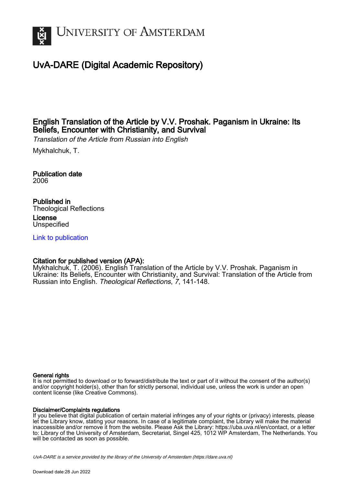

# UvA-DARE (Digital Academic Repository)

# English Translation of the Article by V.V. Proshak. Paganism in Ukraine: Its Beliefs, Encounter with Christianity, and Survival

Translation of the Article from Russian into English

Mykhalchuk, T.

Publication date 2006

Published in Theological Reflections

License Unspecified

[Link to publication](https://dare.uva.nl/personal/pure/en/publications/english-translation-of-the-article-by-vv-proshak-paganism-in-ukraine-its-beliefs-encounter-with-christianity-and-survival(7753e0f2-b2a2-42d3-ad43-d6480a5aa7e4).html)

# Citation for published version (APA):

Mykhalchuk, T. (2006). English Translation of the Article by V.V. Proshak. Paganism in Ukraine: Its Beliefs, Encounter with Christianity, and Survival: Translation of the Article from Russian into English. Theological Reflections, 7, 141-148.

#### General rights

It is not permitted to download or to forward/distribute the text or part of it without the consent of the author(s) and/or copyright holder(s), other than for strictly personal, individual use, unless the work is under an open content license (like Creative Commons).

#### Disclaimer/Complaints regulations

If you believe that digital publication of certain material infringes any of your rights or (privacy) interests, please let the Library know, stating your reasons. In case of a legitimate complaint, the Library will make the material inaccessible and/or remove it from the website. Please Ask the Library: https://uba.uva.nl/en/contact, or a letter to: Library of the University of Amsterdam, Secretariat, Singel 425, 1012 WP Amsterdam, The Netherlands. You will be contacted as soon as possible.

UvA-DARE is a service provided by the library of the University of Amsterdam (http*s*://dare.uva.nl)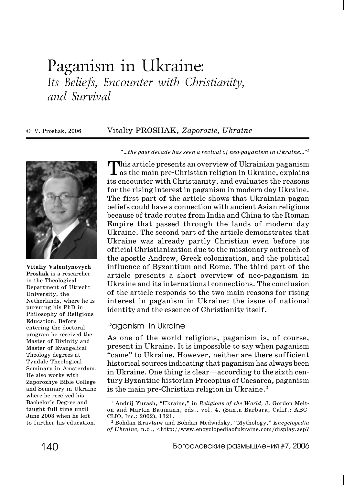# Paganism in Ukraine: Its Beliefs, Encounter with Christianity, and Survival

© V. Proshak, 2006 Vitaliy PROSHAK, *Zaporozie, Ukraine*



**Vitaliy Valentynovych Proshak** is a researcher in the Theological Department of Utrecht University, the Netherlands, where he is pursuing his PhD in Philosophy of Religious Education. Before entering the doctoral program he received the Master of Divinity and Master of Evangelical Theology degrees at Tyndale Theological Seminary in Amsterdam. He also works with Zaporozhye Bible College and Seminary in Ukraine where he received his Bachelor's Degree and taught full time until June 2003 when he left to further his education.

*"*...the past decade has seen a revival of neo-paganism in Ukraine..."<sup>1</sup>

This article presents an overview of Ukrainian paganism  $\perp$  as the main pre-Christian religion in Ukraine, explains its encounter with Christianity, and evaluates the reasons for the rising interest in paganism in modern day Ukraine. The first part of the article shows that Ukrainian pagan beliefs could have a connection with ancient Asian religions because of trade routes from India and China to the Roman Empire that passed through the lands of modern day Ukraine. The second part of the article demonstrates that Ukraine was already partly Christian even before its official Christianization due to the missionary outreach of the apostle Andrew, Greek colonization, and the political influence of Byzantium and Rome. The third part of the article presents a short overview of neo-paganism in Ukraine and its international connections. The conclusion of the article responds to the two main reasons for rising interest in paganism in Ukraine: the issue of national identity and the essence of Christianity itself.

#### Paganism in Ukraine

As one of the world religions, paganism is, of course, present in Ukraine. It is impossible to say when paganism "came" to Ukraine. However, neither are there sufficient historical sources indicating that paganism has always been in Ukraine. One thing is clear—according to the sixth century Byzantine historian Procopius of Caesarea, paganism is the main pre-Christian religion in Ukraine. $<sup>2</sup>$ </sup>

<sup>&</sup>lt;sup>1</sup> Andrij Yurash, "Ukraine," in *Religions of the World*, J. Gordon Melton and Martin Baumann, eds., vol. 4, (Santa Barbara, Calif.: ABC-CLIO, Inc.: 2002), 1321.

<sup>2</sup> Bohdan Kravtsiw and Bohdan Medwidsky, "Mythology," *Encyclopedia of Ukraine,* n.d., <http://www.encyclopediaofukraine.com/display.asp?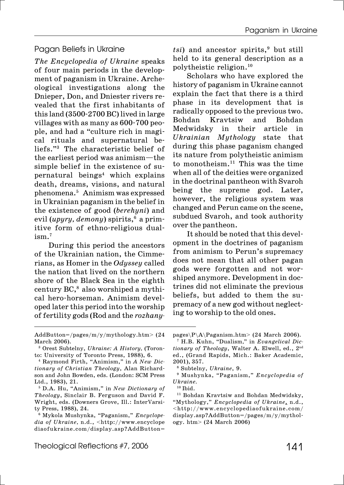### Pagan Beliefs in Ukraine

*The Encyclopedia of Ukraine* speaks of four main periods in the development of paganism in Ukraine. Archeological investigations along the Dnieper, Don, and Dniester rivers revealed that the first inhabitants of this land  $(3500-2700$  BC) lived in large villages with as many as  $600 - 700$  people, and had a "culture rich in magical rituals and supernatural beliefs."3 The characteristic belief of the earliest period was animism—the simple belief in the existence of supernatural beings4 which explains death, dreams, visions, and natural phenomena.5 Animism was expressed in Ukrainian paganism in the belief in the existence of good (*berehyni*) and evil (*upyry, demony*) spirits,<sup>6</sup> a primitive form of ethno-religious dual $ism<sup>7</sup>$ 

During this period the ancestors of the Ukrainian nation, the Cimmerians, as Homer in the *Odyssey* called the nation that lived on the northern shore of the Black Sea in the eighth century  $BC$ ,<sup>8</sup> also worshiped a mythical hero-horseman. Animism developed later this period into the worship of fertility gods (Rod and the *rozhany!* *tsi*) and ancestor spirits,<sup>9</sup> but still held to its general description as a polytheistic religion.10

Scholars who have explored the history of paganism in Ukraine cannot explain the fact that there is a third phase in its development that is radically opposed to the previous two. Bohdan Kravtsiw and Bohdan Medwidsky in their article in *Ukrainian Mythology* state that during this phase paganism changed its nature from polytheistic animism to monotheism.11 This was the time when all of the deities were organized in the doctrinal pantheon with Svaroh being the supreme god. Later, however, the religious system was changed and Perun came on the scene, subdued Svaroh, and took authority over the pantheon.

It should be noted that this development in the doctrines of paganism from animism to Perun's supremacy does not mean that all other pagan gods were forgotten and not worshiped anymore. Development in doctrines did not eliminate the previous beliefs, but added to them the supremacy of a new god without neglecting to worship to the old ones.

AddButton=/pages/m/y/mythology.htm> (24 March 2006).

<sup>&</sup>lt;sup>3</sup> Orest Subtelny, *Ukraine: A History*, (Toronto: University of Toronto Press, 1988), 6.

<sup>4</sup> Raymond Firth, "Animism," in *A New Dic! tionary of Christian Theology*, Alan Richard! son and John Bowden, eds. (London: SCM Press Ltd., 1983), 21.

<sup>5</sup> D.A. Hu, "Animism," in *New Dictionary of Theology*, Sinclair B. Ferguson and David F. Wright, eds. (Downers Grove, Ill.: InterVarsity Press, 1988), 24.

<sup>6</sup> Mykola Mushynka, "Paganism," *Encyclope! dia of Ukraine,* n.d., <http://www.encyclope diaofukraine.com/display.asp?AddButton=

pages\P\A\Paganism.htm> (24 March 2006). 7 H.B. Kuhn, "Dualism*,*" in *Evangelical Dic!*

*tionary of Theology*, Walter A. Elwell, ed., 2nd ed., (Grand Rapids, Mich.: Baker Academic, 2001), 357.

<sup>8</sup> Subtelny, *Ukraine*, 9.

<sup>9</sup> Mushynka, "Paganism," *Encyclopedia of Ukraine.*

 $10$  Ibid.

<sup>&</sup>lt;sup>11</sup> Bohdan Kravtsiw and Bohdan Medwidsky, "Mythology," *Encyclopedia of Ukraine*, n.d., <http://www.encyclopediaofukraine.com/ display.asp?AddButton=/pages/m/y/mythology. htm> (24 March 2006)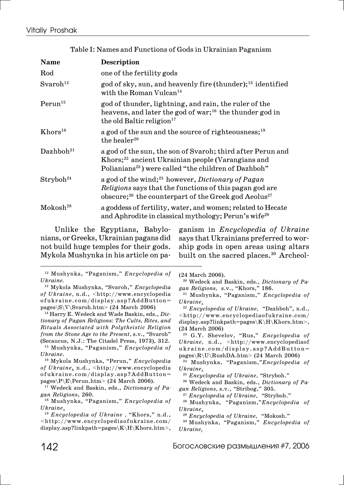| <b>Name</b>           | <b>Description</b>                                                                                                                                                                                              |
|-----------------------|-----------------------------------------------------------------------------------------------------------------------------------------------------------------------------------------------------------------|
| Rod                   | one of the fertility gods                                                                                                                                                                                       |
| Svaroh <sup>12</sup>  | god of sky, sun, and heavenly fire (thunder); <sup>13</sup> identified<br>with the Roman Vulcan <sup>14</sup>                                                                                                   |
| Perun <sup>15</sup>   | god of thunder, lightning, and rain, the ruler of the<br>heavens, and later the god of war; <sup>16</sup> the thunder god in<br>the old Baltic religion <sup>17</sup>                                           |
| Khors <sup>18</sup>   | a god of the sun and the source of righteousness; <sup>19</sup><br>the healer <sup>20</sup>                                                                                                                     |
| Dazhboh <sup>21</sup> | a god of the sun, the son of Svaroh; third after Perun and<br>Khors; <sup>22</sup> ancient Ukrainian people (Varangians and<br>Polianians <sup>23</sup> ) were called "the children of Dazhboh"                 |
| Strvboh <sup>24</sup> | a god of the wind; <sup>25</sup> however, <i>Dictionary of Pagan</i><br>Religions says that the functions of this pagan god are<br>obscure; <sup>26</sup> the counterpart of the Greek god Aeolus <sup>27</sup> |
| Mokosh <sup>28</sup>  | a goddess of fertility, water, and women; related to Hecate<br>and Aphrodite in classical mythology; Perun's wife <sup>29</sup>                                                                                 |

Table I: Names and Functions of Gods in Ukrainian Paganism

Unlike the Egyptians, Babylonians, or Greeks, Ukrainian pagans did not build huge temples for their gods. Mykola Mushynka in his article on paganism in *Encyclopedia of Ukraine* says that Ukrainians preferred to worship gods in open areas using altars built on the sacred places.<sup>30</sup> Archeol-

12 Mushynka, "Paganism," *Encyclopedia of Ukraine.*

13 Mykola Mushynka, "Svaroh," *Encyclopedia of Ukraine,* n.d., <http://www.encyclopedia ofukraine.com/display.asp?AddButton= pages\S\V\Svaroh.htm> (24 March 2006)

14 Harry E. Wedeck and Wade Baskin, eds., *Dic! tionary of Pagan Religions: The Cults, Rites, and Rituals Associated with Polytheistic Religion from the Stone Age to the Present,* s.v., "Svaroh" (Secaucus, N.J.: The Citadel Press, 1973), 312.

15 Mushynka, "Paganism," *Encyclopedia of Ukraine.*

16 Mykola Mushynka, "Perun," *Encyclopedia of Ukraine*, n.d., <http://www.encyclopedia ofukraine.com/display.asp?AddButton= pages\P\E\Perun.htm> (24 March 2006).

17 Wedeck and Baskin, eds., *Dictionary of Pa! gan Religions*, 260.

18 Mushynka, "Paganism," *Encyclopedia of Ukraine*.

<sup>19</sup> *Encyclopedia of Ukraine ,* "Khors," n.d., <http://www.encyclopediaofukraine.com/ display.asp?linkpath=pages\K\H\Khors.htm>, (24 March 2006).

20 Wedeck and Baskin, eds., *Dictionary of Pa! gan Religions,* s.v., "Khors," 186.

21 Mushynka, "Paganism," *Encyclopedia of Ukraine*.

<sup>22</sup> *Encyclopedia of Ukraine,* "Dazhboh", n.d., <http://www.encyclopediaofukraine.com/ display.asp?linkpath=pages\K\H\Khors.htm>, (24 March 2006)

23 G.Y. Shevelov, "Rus," *Encyclopedia of Ukraine,* n.d., <http://www.encyclopediaof ukraine.com/display.asp?AddButton= pages\R\U\RushDA.htm> (24 March 2006)

24 Mushynka, "Paganism,"*Encyclopedia of Ukraine*.

<sup>25</sup> *Encyclopedia of Ukraine,* "Stryboh."

26 Wedeck and Baskin, eds., *Dictionary of Pa! gan Religions,* s.v., "Stribog," 305.

<sup>27</sup> *Encyclopedia of Ukraine,* "Stryboh."

28 Mushynka, "Paganism,"*Encyclopedia of Ukraine*.

<sup>29</sup> *Encyclopedia of Ukraine,* "Mokosh."

30 Mushynka, "Paganism," *Encyclopedia of Ukraine.*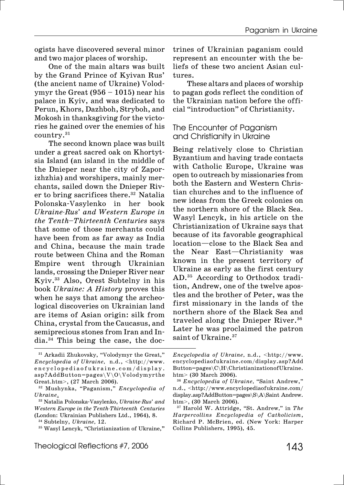ogists have discovered several minor and two major places of worship.

One of the main altars was built by the Grand Prince of Kyivan Rus' (the ancient name of Ukraine) Volodymyr the Great  $(956 - 1015)$  near his palace in Kyiv, and was dedicated to Perun, Khors, Dazhboh, Stryboh, and Mokosh in thanksgiving for the victories he gained over the enemies of his country.31

The second known place was built under a great sacred oak on Khortytsia Island (an island in the middle of the Dnieper near the city of Zaporizhzhia) and worshipers, mainly merchants, sailed down the Dnieper River to bring sacrifices there.<sup>32</sup> Natalia Polonska-Vasylenko in her book *Ukraine!Rus' and Western Europe in the Tenth–Thirteenth Centuries* says that some of those merchants could have been from as far away as India and China, because the main trade route between China and the Roman Empire went through Ukrainian lands, crossing the Dnieper River near Kyiv.33 Also, Orest Subtelny in his book *Ukraine: A History* proves this when he says that among the archeological discoveries on Ukrainian land are items of Asian origin: silk from China, crystal from the Caucasus, and semiprecious stones from Iran and In $dia.^{34}$  This being the case, the doctrines of Ukrainian paganism could represent an encounter with the beliefs of these two ancient Asian cultures.

These altars and places of worship to pagan gods reflect the condition of the Ukrainian nation before the official "introduction" of Christianity.

# The Encounter of Paganism and Christianity in Ukraine

Being relatively close to Christian Byzantium and having trade contacts with Catholic Europe, Ukraine was open to outreach by missionaries from both the Eastern and Western Christian churches and to the influence of new ideas from the Greek colonies on the northern shore of the Black Sea. Wasyl Lencyk, in his article on the Christianization of Ukraine says that because of its favorable geographical location—close to the Black Sea and the Near East—Christianity was known in the present territory of Ukraine as early as the first century AD.<sup>35</sup> According to Orthodox tradition, Andrew, one of the twelve apostles and the brother of Peter, was the first missionary in the lands of the northern shore of the Black Sea and traveled along the Dnieper River.<sup>36</sup> Later he was proclaimed the patron saint of Ukraine.<sup>37</sup>

<sup>31</sup> Arkadii Zhukovsky, "Volodymyr the Great," *Encyclopedia of Ukraine,* n.d., <http://www. encyclopediaofukraine.com/display.  $asp?AddButton = pages\V\O\Vol{olodymyr}$ Great.htm>, (27 March 2006).

<sup>32</sup> Mushynka, "Paganism," *Encyclopedia of Ukraine*.

<sup>&</sup>lt;sup>33</sup> Natalia Polonska-Vasylenko, *Ukraine-Rus' and Western Europe in the Tenth!Thirteenth Centuries* (London: Ukrainian Publishers Ltd., 1964), 8.

<sup>34</sup> Subtelny, *Ukraine,* 12.

<sup>35</sup> Wasyl Lencyk, "Christianization of Ukraine,**"**

*Encyclopedia of Ukraine,* n.d., <http://www. encyclopediaofukraine.com/display.asp?Add  $Button = pages \C\H\Christianization of Ukraine.$ htm> (30 March 2006).

<sup>36</sup> *Encyclopedia of Ukraine,* "Saint Andrew," n.d., <http://www.encyclopediaofukraine.com/ display.asp?AddButton=pages\S\A\Saint Andrew. htm>, (30 March 2006).

<sup>37</sup> Harold W. Attridge, "St. Andrew*,*" in *The Harpercollins Encyclopedia of Catholicism*, Richard P. McBrien, ed. (New York: Harper Collins Publishers, 1995), 45.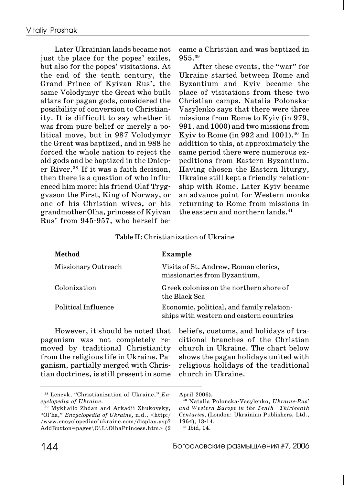Later Ukrainian lands became not just the place for the popes' exiles, but also for the popes' visitations. At the end of the tenth century, the Grand Prince of Kyivan Rus', the same Volodymyr the Great who built altars for pagan gods, considered the possibility of conversion to Christianity. It is difficult to say whether it was from pure belief or merely a political move, but in 987 Volodymyr the Great was baptized, and in 988 he forced the whole nation to reject the old gods and be baptized in the Dnieper River.38 If it was a faith decision, then there is a question of who influenced him more: his friend Olaf Tryggvason the First, King of Norway, or one of his Christian wives, or his grandmother Olha, princess of Kyivan Rus' from 945-957, who herself became a Christian and was baptized in 955.39

After these events, the "war" for Ukraine started between Rome and Byzantium and Kyiv became the place of visitations from these two Christian camps. Natalia Polonska-Vasylenko says that there were three missions from Rome to Kyiv (in 979, 991, and 1000) and two missions from Kyiv to Rome (in 992 and 1001).<sup>40</sup> In addition to this, at approximately the same period there were numerous expeditions from Eastern Byzantium. Having chosen the Eastern liturgy, Ukraine still kept a friendly relationship with Rome. Later Kyiv became an advance point for Western monks returning to Rome from missions in the eastern and northern lands.<sup>41</sup>

#### Table II: Christianization of Ukraine

| Method              | Example                                                                               |
|---------------------|---------------------------------------------------------------------------------------|
| Missionary Outreach | Visits of St. Andrew, Roman clerics,<br>missionaries from Byzantium,                  |
| Colonization        | Greek colonies on the northern shore of<br>the Black Sea                              |
| Political Influence | Economic, political, and family relation-<br>ships with western and eastern countries |

However, it should be noted that paganism was not completely removed by traditional Christianity from the religious life in Ukraine. Paganism, partially merged with Christian doctrines, is still present in some

beliefs, customs, and holidays of traditional branches of the Christian church in Ukraine. The chart below shows the pagan holidays united with religious holidays of the traditional church in Ukraine.

<sup>38</sup> Lencyk, "Christianization of Ukraine,**"** *En! cyclopedia of Ukraine*.

<sup>39</sup> Mykhailo Zhdan and Arkadii Zhukovsky, "Ol'ha," *Encyclopedia of Ukraine*, n.d., <http:/ /www.encyclopediaofukraine.com/display.asp? AddButton=pages\O\L\OlhaPrincess.htm> (2

April 2006).

<sup>40</sup> Natalia Polonska!Vasylenko, *Ukraine!Rus' and Western Europe in the Tenth –Thirteenth Centuries,* (London: Ukrainian Publishers, Ltd., 1964), 13-14.

<sup>41</sup> Ibid, 14.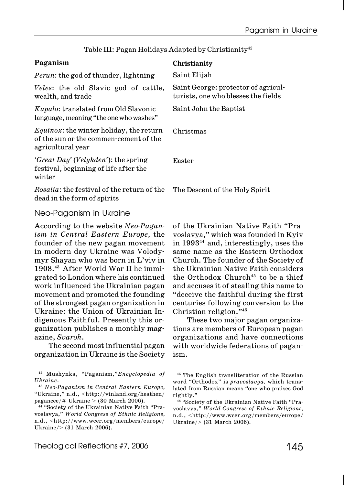| Paganism                                                                                                       | Christianity                                                               |
|----------------------------------------------------------------------------------------------------------------|----------------------------------------------------------------------------|
| <i>Perun:</i> the god of thunder, lightning                                                                    | Saint Elijah                                                               |
| <i>Veles:</i> the old Slavic god of cattle,<br>wealth, and trade                                               | Saint George: protector of agricul-<br>turists, one who blesses the fields |
| <i>Kupalo:</i> translated from Old Slavonic<br>language, meaning "the one who washes"                          | Saint John the Baptist                                                     |
| <i>Equinox</i> : the winter holiday, the return<br>of the sun or the commen-cement of the<br>agricultural year | Christmas                                                                  |
| 'Great Day' (Velykden'): the spring<br>festival, beginning of life after the<br>winter                         | Easter                                                                     |
| <i>Rosalia:</i> the festival of the return of the<br>dead in the form of spirits                               | The Descent of the Holy Spirit                                             |
| $\mathsf{N}\mathsf{I}$ a a Darajana na Uluzina a                                                               |                                                                            |

## Table III: Pagan Holidays Adapted by Christianity<sup>42</sup>

Neo-Paganism in Ukraine

According to the website *Neo-Pagan ism in Central Eastern Europe,* the founder of the new pagan movement in modern day Ukraine was Volodymyr Shayan who was born in L'viv in 1908.<sup>43</sup> After World War II he immigrated to London where his continued work influenced the Ukrainian pagan movement and promoted the founding of the strongest pagan organization in Ukraine: the Union of Ukrainian Indigenous Faithful. Presently this organization publishes a monthly magazine, *Svaroh*.

The second most influential pagan organization in Ukraine is the Society

42 Mushynka, "Paganism,"*Encyclopedia of Ukraine*.

These two major pagan organizations are members of European pagan organizations and have connections with worldwide federations of pagan-

Christian religion."46

ism.

of the Ukrainian Native Faith "Pravoslavya," which was founded in Kyiv in 199344 and, interestingly, uses the same name as the Eastern Orthodox Church. The founder of the Society of the Ukrainian Native Faith considers the Orthodox Church<sup>45</sup> to be a thief and accuses it of stealing this name to "deceive the faithful during the first centuries following conversion to the

<sup>43</sup> *Neo!Paganism in Central Eastern Europe,* "Ukraine," n.d., <http://vinland.org/heathen/ pagancee/# Ukraine > (30 March 2006).

<sup>&</sup>lt;sup>44</sup> "Society of the Ukrainian Native Faith "Pravoslavya," *World Congress of Ethnic Religions,* n.d., <http://www.wcer.org/members/europe/ Ukraine/> (31 March 2006).

<sup>45</sup> The English transliteration of the Russian word "Orthodox" is *pravoslavya*, which translated from Russian means "one who praises God rightly."

<sup>&</sup>lt;sup>46</sup> "Society of the Ukrainian Native Faith "Pravoslavya," *World Congress of Ethnic Religions,* n.d., <http://www.wcer.org/members/europe/ Ukraine/> (31 March 2006).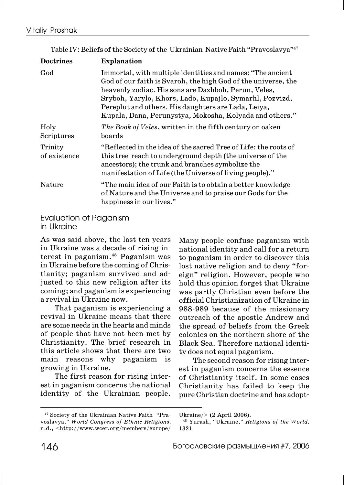| <b>Doctrines</b>        | <b>Explanation</b>                                                                                                                                                                                                                                                                                                                                               |
|-------------------------|------------------------------------------------------------------------------------------------------------------------------------------------------------------------------------------------------------------------------------------------------------------------------------------------------------------------------------------------------------------|
| God                     | Immortal, with multiple identities and names: "The ancient<br>God of our faith is Svaroh, the high God of the universe, the<br>heavenly zodiac. His sons are Dazhboh, Perun, Veles,<br>Sryboh, Yarylo, Khors, Lado, Kupajlo, Symarhl, Pozvizd,<br>Pereplut and others. His daughters are Lada, Leiya,<br>Kupala, Dana, Perunystya, Mokosha, Kolyada and others." |
| Holy<br>Scriptures      | The Book of Veles, written in the fifth century on oaken<br>boards                                                                                                                                                                                                                                                                                               |
| Trinity<br>of existence | "Reflected in the idea of the sacred Tree of Life: the roots of<br>this tree reach to underground depth (the universe of the<br>ancestors); the trunk and branches symbolize the<br>manifestation of Life (the Universe of living people)."                                                                                                                      |
| Nature                  | "The main idea of our Faith is to obtain a better knowledge<br>of Nature and the Universe and to praise our Gods for the<br>happiness in our lives."                                                                                                                                                                                                             |

Table IV: Beliefs of the Society of the Ukrainian Native Faith "Pravoslavya"47

Evaluation of Paganism in Ukraine

As was said above, the last ten years in Ukraine was a decade of rising interest in paganism.48 Paganism was in Ukraine before the coming of Christianity; paganism survived and adjusted to this new religion after its coming; and paganism is experiencing a revival in Ukraine now.

That paganism is experiencing a revival in Ukraine means that there are some needs in the hearts and minds of people that have not been met by Christianity. The brief research in this article shows that there are two main reasons why paganism is growing in Ukraine.

The first reason for rising interest in paganism concerns the national identity of the Ukrainian people. Many people confuse paganism with national identity and call for a return to paganism in order to discover this lost native religion and to deny "foreign" religion. However, people who hold this opinion forget that Ukraine was partly Christian even before the official Christianization of Ukraine in 988-989 because of the missionary outreach of the apostle Andrew and the spread of beliefs from the Greek colonies on the northern shore of the Black Sea. Therefore national identity does not equal paganism.

The second reason for rising interest in paganism concerns the essence of Christianity itself. In some cases Christianity has failed to keep the pure Christian doctrine and has adopt-

<sup>&</sup>lt;sup>47</sup> Society of the Ukrainian Native Faith "Pravoslavya," *World Congress of Ethnic Religions,* n.d., <http://www.wcer.org/members/europe/

Ukraine/> (2 April 2006).

<sup>48</sup> Yurash, "Ukraine," *Religions of the World,* 1321.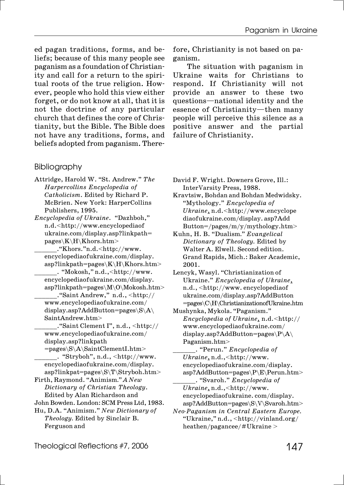ed pagan traditions, forms, and beliefs; because of this many people see paganism as a foundation of Christianity and call for a return to the spiritual roots of the true religion. However, people who hold this view either forget, or do not know at all, that it is not the doctrine of any particular church that defines the core of Christianity, but the Bible. The Bible does not have any traditions, forms, and beliefs adopted from paganism. There-

### Bibliography

- Attridge, Harold W. "St. Andrew." *The Harpercollins Encyclopedia of Catholicism*. Edited by Richard P. McBrien. New York: HarperCollins Publishers, 1995.
- *Encyclopedia of Ukraine*. "Dazhboh," n.d.<http://www.encyclopediaof ukraine.com/display.asp?linkpath= pages\K\H\Khors.htm>
	- \_\_\_\_\_\_."Khors."n.d.<http://www. encyclopediaofukraine.com/display.  $a$ sp?linkpath=pages\K\H\Khors.htm>
	- \_\_\_\_\_\_. "Mokosh," n.d.,<http://www. encyclopediaofukraine.com/display. asp?linkpath=pages\M\O\Mokosh.htm>
	- \_\_\_\_\_\_."Saint Andrew," n.d., <http:// www.encyclopediaofukraine.com/ display.asp?AddButton=pages\S\A\ SaintAndrew.htm>
	- \_\_\_\_\_\_."Saint Clement I", n.d., <http:// www.encyclopediaofukraine.com/ display.asp?linkpath
	- $=pages\B\A\SaintClementI.htm>$  $\cdot$  "Stryboh", n.d.,  $\langle$ http://www. encyclopediaofukraine.com/display.
- asp?linkpat=pages\S\T\Stryboh.htm> Firth, Raymond. "Animism*.*" *A New*
- *Dictionary of Christian Theology*. Edited by Alan Richardson and John Bowden. London: SCM Press Ltd, 1983.
- Hu, D.A. "Animism." *New Dictionary of Theology.* Edited by Sinclair B. Ferguson and

fore, Christianity is not based on paganism.

The situation with paganism in Ukraine waits for Christians to respond. If Christianity will not provide an answer to these two questions—national identity and the essence of Christianity—then many people will perceive this silence as a positive answer and the partial failure of Christianity.

- David F. Wright. Downers Grove, Ill.: InterVarsity Press, 1988.
- Kravtsiw, Bohdan and Bohdan Medwidsky. "Mythology." *Encyclopedia of Ukraine*, n.d.<http://www.encyclope diaofukraine.com/display. asp?Add Button=/pages/m/y/mythology.htm>
- Kuhn, H. B. "Dualism*.*" *Evangelical Dictionary of Theology.* Edited by Walter A. Elwell. Second edition. Grand Rapids, Mich.: Baker Academic, 2001.
- Lencyk, Wasyl. "Christianization of Ukraine." *Encyclopedia of Ukraine*, n.d., <http://www. encyclopediaof ukraine.com/display.asp?AddButton =pages\C\H\ChristianizationofUkraine.htm
- Mushynka, Mykola. "Paganism." *Encyclopedia of Ukraine*, n.d.<http:// www.encyclopediaofukraine.com/ display.asp?AddButton=pages\P\A\ Paganism.htm>
	- \_\_\_\_\_\_. "Perun." *Encyclopedia of Ukraine*, n.d.,<http://www. encyclopediaofukraine.com/display. asp?AddButton=pages\P\E\Perun.htm>
	- \_\_\_\_\_\_. "Svaroh." *Encyclopedia of Ukraine*, n.d.,<http://www. encyclopediaofukraine. com/display. asp?AddButton=pages\S\V\Svaroh.htm>
- *Neo!Paganism in Central Eastern Europe.* "Ukraine," n.d., <http://vinland.org/ heathen/pagancee/#Ukraine >